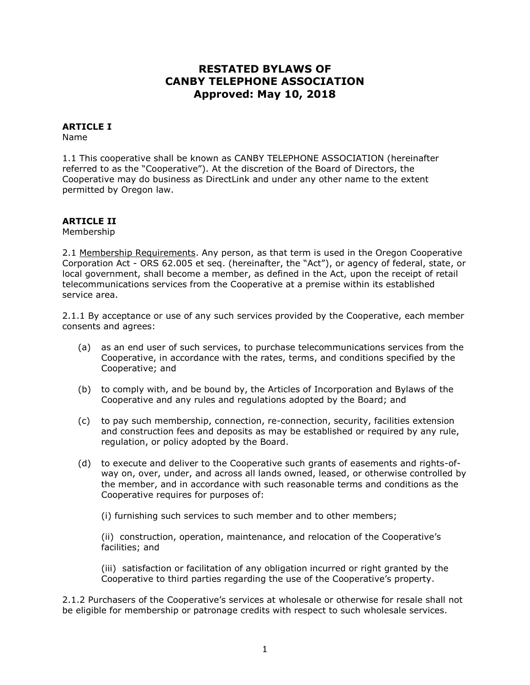# **RESTATED BYLAWS OF CANBY TELEPHONE ASSOCIATION Approved: May 10, 2018**

# **ARTICLE I**

Name

1.1 This cooperative shall be known as CANBY TELEPHONE ASSOCIATION (hereinafter referred to as the "Cooperative"). At the discretion of the Board of Directors, the Cooperative may do business as DirectLink and under any other name to the extent permitted by Oregon law.

## **ARTICLE II**

Membership

2.1 Membership Requirements. Any person, as that term is used in the Oregon Cooperative Corporation Act - ORS 62.005 et seq. (hereinafter, the "Act"), or agency of federal, state, or local government, shall become a member, as defined in the Act, upon the receipt of retail telecommunications services from the Cooperative at a premise within its established service area.

2.1.1 By acceptance or use of any such services provided by the Cooperative, each member consents and agrees:

- (a) as an end user of such services, to purchase telecommunications services from the Cooperative, in accordance with the rates, terms, and conditions specified by the Cooperative; and
- (b) to comply with, and be bound by, the Articles of Incorporation and Bylaws of the Cooperative and any rules and regulations adopted by the Board; and
- (c) to pay such membership, connection, re-connection, security, facilities extension and construction fees and deposits as may be established or required by any rule, regulation, or policy adopted by the Board.
- (d) to execute and deliver to the Cooperative such grants of easements and rights-ofway on, over, under, and across all lands owned, leased, or otherwise controlled by the member, and in accordance with such reasonable terms and conditions as the Cooperative requires for purposes of:

(i) furnishing such services to such member and to other members;

(ii) construction, operation, maintenance, and relocation of the Cooperative's facilities; and

(iii) satisfaction or facilitation of any obligation incurred or right granted by the Cooperative to third parties regarding the use of the Cooperative's property.

2.1.2 Purchasers of the Cooperative's services at wholesale or otherwise for resale shall not be eligible for membership or patronage credits with respect to such wholesale services.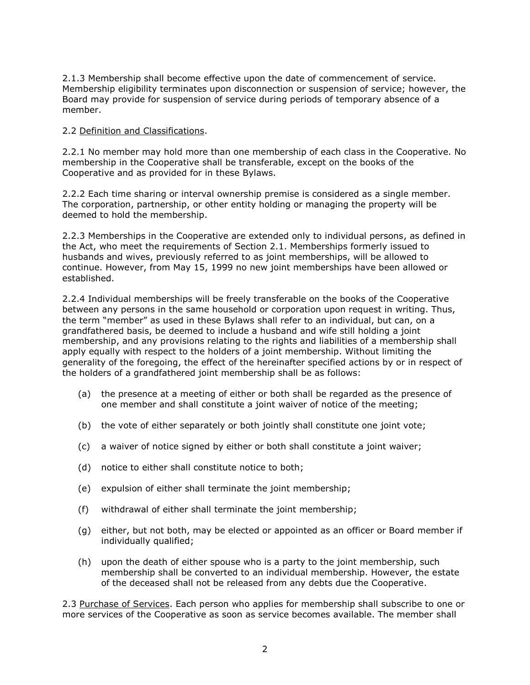2.1.3 Membership shall become effective upon the date of commencement of service. Membership eligibility terminates upon disconnection or suspension of service; however, the Board may provide for suspension of service during periods of temporary absence of a member.

## 2.2 Definition and Classifications.

2.2.1 No member may hold more than one membership of each class in the Cooperative. No membership in the Cooperative shall be transferable, except on the books of the Cooperative and as provided for in these Bylaws.

2.2.2 Each time sharing or interval ownership premise is considered as a single member. The corporation, partnership, or other entity holding or managing the property will be deemed to hold the membership.

2.2.3 Memberships in the Cooperative are extended only to individual persons, as defined in the Act, who meet the requirements of Section 2.1. Memberships formerly issued to husbands and wives, previously referred to as joint memberships, will be allowed to continue. However, from May 15, 1999 no new joint memberships have been allowed or established.

2.2.4 Individual memberships will be freely transferable on the books of the Cooperative between any persons in the same household or corporation upon request in writing. Thus, the term "member" as used in these Bylaws shall refer to an individual, but can, on a grandfathered basis, be deemed to include a husband and wife still holding a joint membership, and any provisions relating to the rights and liabilities of a membership shall apply equally with respect to the holders of a joint membership. Without limiting the generality of the foregoing, the effect of the hereinafter specified actions by or in respect of the holders of a grandfathered joint membership shall be as follows:

- (a) the presence at a meeting of either or both shall be regarded as the presence of one member and shall constitute a joint waiver of notice of the meeting;
- (b) the vote of either separately or both jointly shall constitute one joint vote;
- (c) a waiver of notice signed by either or both shall constitute a joint waiver;
- (d) notice to either shall constitute notice to both;
- (e) expulsion of either shall terminate the joint membership;
- (f) withdrawal of either shall terminate the joint membership;
- (g) either, but not both, may be elected or appointed as an officer or Board member if individually qualified;
- (h) upon the death of either spouse who is a party to the joint membership, such membership shall be converted to an individual membership. However, the estate of the deceased shall not be released from any debts due the Cooperative.

2.3 Purchase of Services. Each person who applies for membership shall subscribe to one or more services of the Cooperative as soon as service becomes available. The member shall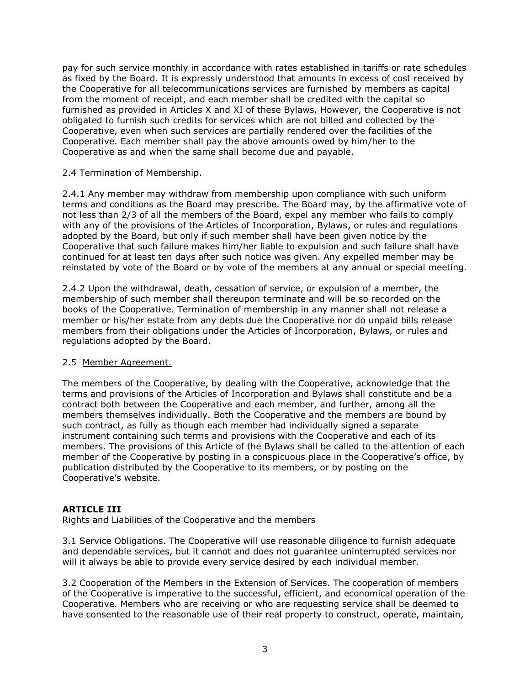pay for such service monthly in accordance with rates established in tariffs or rate schedules as fixed by the Board. It is expressly understood that amounts in excess of cost received by the Cooperative for all telecommunications services are furnished by members as capital from the moment of receipt, and each member shall be credited with the capital so furnished as provided in Articles X and XI of these Bylaws. However, the Cooperative is not obligated to furnish such credits for services which are not billed and collected by the Cooperative, even when such services are partially rendered over the facilities of the Cooperative. Each member shall pay the above amounts owed by him/her to the Cooperative as and when the same shall become due and payable.

### 2.4 Termination of Membership.

2.4.1 Any member may withdraw from membership upon compliance with such uniform terms and conditions as the Board may prescribe. The Board may, by the affirmative vote of not less than 2/3 of all the members of the Board, expel any member who fails to comply with any of the provisions of the Articles of Incorporation, Bylaws, or rules and regulations adopted by the Board, but only if such member shall have been given notice by the Cooperative that such failure makes him/her liable to expulsion and such failure shall have continued for at least ten days after such notice was given. Any expelled member may be reinstated by vote of the Board or by vote of the members at any annual or special meeting.

2.4.2 Upon the withdrawal, death, cessation of service, or expulsion of a member, the membership of such member shall thereupon terminate and will be so recorded on the books of the Cooperative. Termination of membership in any manner shall not release a member or his/her estate from any debts due the Cooperative nor do unpaid bills release members from their obligations under the Articles of Incorporation, Bylaws, or rules and regulations adopted by the Board.

### 2.5 Member Agreement.

The members of the Cooperative, by dealing with the Cooperative, acknowledge that the terms and provisions of the Articles of Incorporation and Bylaws shall constitute and be a contract both between the Cooperative and each member, and further, among all the members themselves individually. Both the Cooperative and the members are bound by such contract, as fully as though each member had individually signed a separate instrument containing such terms and provisions with the Cooperative and each of its members. The provisions of this Article of the Bylaws shall be called to the attention of each member of the Cooperative by posting in a conspicuous place in the Cooperative's office, by publication distributed by the Cooperative to its members, or by posting on the Cooperative's website.

# **ARTICLE III**

Rights and Liabilities of the Cooperative and the members

3.1 Service Obligations. The Cooperative will use reasonable diligence to furnish adequate and dependable services, but it cannot and does not guarantee uninterrupted services nor will it always be able to provide every service desired by each individual member.

3.2 Cooperation of the Members in the Extension of Services. The cooperation of members of the Cooperative is imperative to the successful, efficient, and economical operation of the Cooperative. Members who are receiving or who are requesting service shall be deemed to have consented to the reasonable use of their real property to construct, operate, maintain,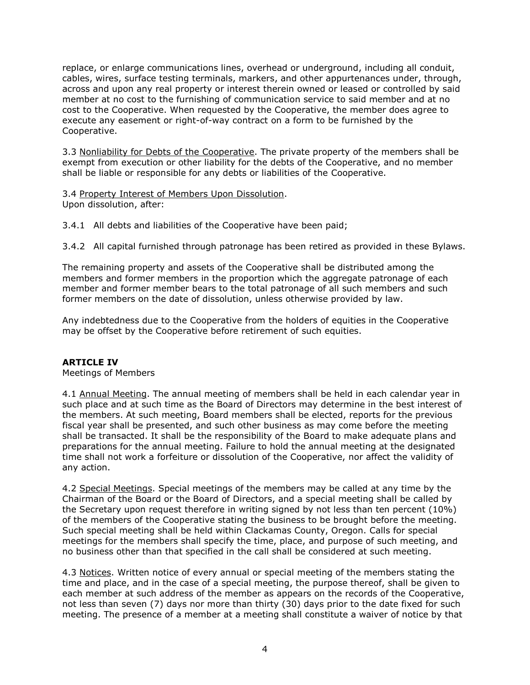replace, or enlarge communications lines, overhead or underground, including all conduit, cables, wires, surface testing terminals, markers, and other appurtenances under, through, across and upon any real property or interest therein owned or leased or controlled by said member at no cost to the furnishing of communication service to said member and at no cost to the Cooperative. When requested by the Cooperative, the member does agree to execute any easement or right-of-way contract on a form to be furnished by the Cooperative.

3.3 Nonliability for Debts of the Cooperative. The private property of the members shall be exempt from execution or other liability for the debts of the Cooperative, and no member shall be liable or responsible for any debts or liabilities of the Cooperative.

3.4 Property Interest of Members Upon Dissolution. Upon dissolution, after:

- 3.4.1 All debts and liabilities of the Cooperative have been paid;
- 3.4.2 All capital furnished through patronage has been retired as provided in these Bylaws.

The remaining property and assets of the Cooperative shall be distributed among the members and former members in the proportion which the aggregate patronage of each member and former member bears to the total patronage of all such members and such former members on the date of dissolution, unless otherwise provided by law.

Any indebtedness due to the Cooperative from the holders of equities in the Cooperative may be offset by the Cooperative before retirement of such equities.

### **ARTICLE IV**

Meetings of Members

4.1 Annual Meeting. The annual meeting of members shall be held in each calendar year in such place and at such time as the Board of Directors may determine in the best interest of the members. At such meeting, Board members shall be elected, reports for the previous fiscal year shall be presented, and such other business as may come before the meeting shall be transacted. It shall be the responsibility of the Board to make adequate plans and preparations for the annual meeting. Failure to hold the annual meeting at the designated time shall not work a forfeiture or dissolution of the Cooperative, nor affect the validity of any action.

4.2 Special Meetings. Special meetings of the members may be called at any time by the Chairman of the Board or the Board of Directors, and a special meeting shall be called by the Secretary upon request therefore in writing signed by not less than ten percent (10%) of the members of the Cooperative stating the business to be brought before the meeting. Such special meeting shall be held within Clackamas County, Oregon. Calls for special meetings for the members shall specify the time, place, and purpose of such meeting, and no business other than that specified in the call shall be considered at such meeting.

4.3 Notices. Written notice of every annual or special meeting of the members stating the time and place, and in the case of a special meeting, the purpose thereof, shall be given to each member at such address of the member as appears on the records of the Cooperative, not less than seven (7) days nor more than thirty (30) days prior to the date fixed for such meeting. The presence of a member at a meeting shall constitute a waiver of notice by that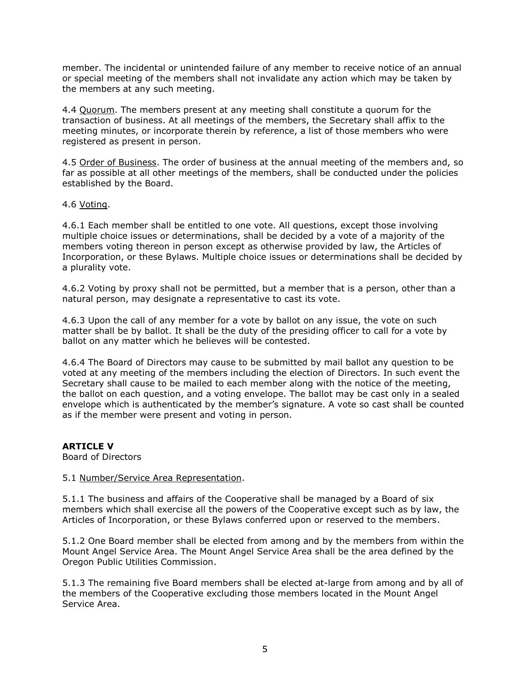member. The incidental or unintended failure of any member to receive notice of an annual or special meeting of the members shall not invalidate any action which may be taken by the members at any such meeting.

4.4 Quorum. The members present at any meeting shall constitute a quorum for the transaction of business. At all meetings of the members, the Secretary shall affix to the meeting minutes, or incorporate therein by reference, a list of those members who were registered as present in person.

4.5 Order of Business. The order of business at the annual meeting of the members and, so far as possible at all other meetings of the members, shall be conducted under the policies established by the Board.

4.6 Voting.

4.6.1 Each member shall be entitled to one vote. All questions, except those involving multiple choice issues or determinations, shall be decided by a vote of a majority of the members voting thereon in person except as otherwise provided by law, the Articles of Incorporation, or these Bylaws. Multiple choice issues or determinations shall be decided by a plurality vote.

4.6.2 Voting by proxy shall not be permitted, but a member that is a person, other than a natural person, may designate a representative to cast its vote.

4.6.3 Upon the call of any member for a vote by ballot on any issue, the vote on such matter shall be by ballot. It shall be the duty of the presiding officer to call for a vote by ballot on any matter which he believes will be contested.

4.6.4 The Board of Directors may cause to be submitted by mail ballot any question to be voted at any meeting of the members including the election of Directors. In such event the Secretary shall cause to be mailed to each member along with the notice of the meeting, the ballot on each question, and a voting envelope. The ballot may be cast only in a sealed envelope which is authenticated by the member's signature. A vote so cast shall be counted as if the member were present and voting in person.

### **ARTICLE V**

Board of Directors

### 5.1 Number/Service Area Representation.

5.1.1 The business and affairs of the Cooperative shall be managed by a Board of six members which shall exercise all the powers of the Cooperative except such as by law, the Articles of Incorporation, or these Bylaws conferred upon or reserved to the members.

5.1.2 One Board member shall be elected from among and by the members from within the Mount Angel Service Area. The Mount Angel Service Area shall be the area defined by the Oregon Public Utilities Commission.

5.1.3 The remaining five Board members shall be elected at-large from among and by all of the members of the Cooperative excluding those members located in the Mount Angel Service Area.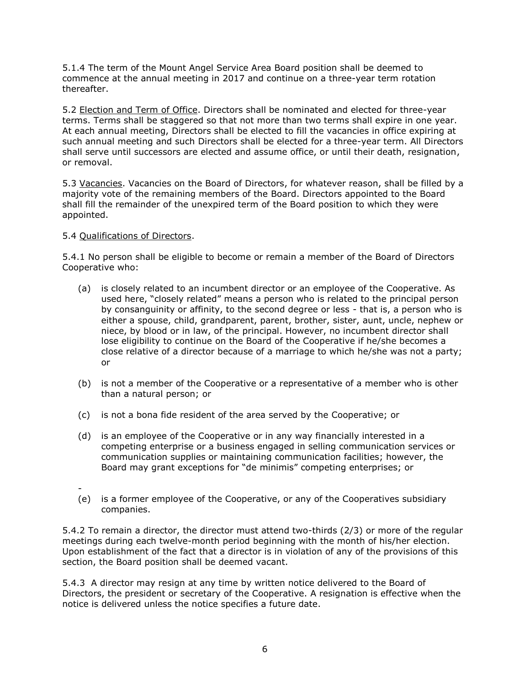5.1.4 The term of the Mount Angel Service Area Board position shall be deemed to commence at the annual meeting in 2017 and continue on a three-year term rotation thereafter.

5.2 Election and Term of Office. Directors shall be nominated and elected for three-year terms. Terms shall be staggered so that not more than two terms shall expire in one year. At each annual meeting, Directors shall be elected to fill the vacancies in office expiring at such annual meeting and such Directors shall be elected for a three-year term. All Directors shall serve until successors are elected and assume office, or until their death, resignation, or removal.

5.3 Vacancies. Vacancies on the Board of Directors, for whatever reason, shall be filled by a majority vote of the remaining members of the Board. Directors appointed to the Board shall fill the remainder of the unexpired term of the Board position to which they were appointed.

## 5.4 Qualifications of Directors.

5.4.1 No person shall be eligible to become or remain a member of the Board of Directors Cooperative who:

- (a) is closely related to an incumbent director or an employee of the Cooperative. As used here, "closely related" means a person who is related to the principal person by consanguinity or affinity, to the second degree or less - that is, a person who is either a spouse, child, grandparent, parent, brother, sister, aunt, uncle, nephew or niece, by blood or in law, of the principal. However, no incumbent director shall lose eligibility to continue on the Board of the Cooperative if he/she becomes a close relative of a director because of a marriage to which he/she was not a party; or
- (b) is not a member of the Cooperative or a representative of a member who is other than a natural person; or
- (c) is not a bona fide resident of the area served by the Cooperative; or
- (d) is an employee of the Cooperative or in any way financially interested in a competing enterprise or a business engaged in selling communication services or communication supplies or maintaining communication facilities; however, the Board may grant exceptions for "de minimis" competing enterprises; or
- (e) is a former employee of the Cooperative, or any of the Cooperatives subsidiary companies.

5.4.2 To remain a director, the director must attend two-thirds (2/3) or more of the regular meetings during each twelve-month period beginning with the month of his/her election. Upon establishment of the fact that a director is in violation of any of the provisions of this section, the Board position shall be deemed vacant.

5.4.3 A director may resign at any time by written notice delivered to the Board of Directors, the president or secretary of the Cooperative. A resignation is effective when the notice is delivered unless the notice specifies a future date.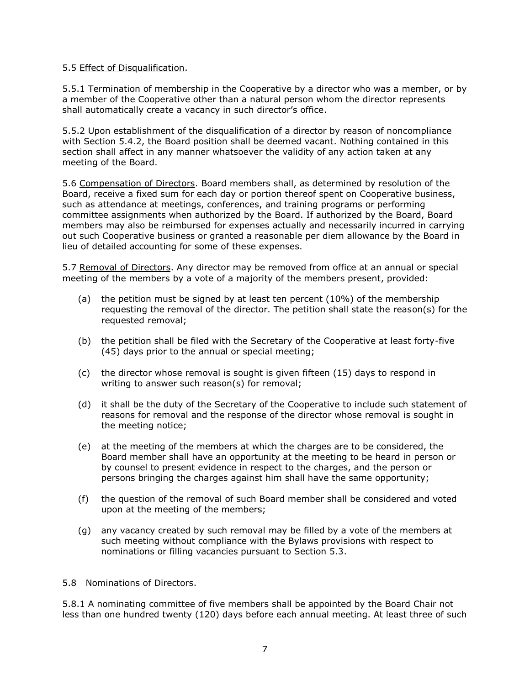### 5.5 Effect of Disqualification.

5.5.1 Termination of membership in the Cooperative by a director who was a member, or by a member of the Cooperative other than a natural person whom the director represents shall automatically create a vacancy in such director's office.

5.5.2 Upon establishment of the disqualification of a director by reason of noncompliance with Section 5.4.2, the Board position shall be deemed vacant. Nothing contained in this section shall affect in any manner whatsoever the validity of any action taken at any meeting of the Board.

5.6 Compensation of Directors. Board members shall, as determined by resolution of the Board, receive a fixed sum for each day or portion thereof spent on Cooperative business, such as attendance at meetings, conferences, and training programs or performing committee assignments when authorized by the Board. If authorized by the Board, Board members may also be reimbursed for expenses actually and necessarily incurred in carrying out such Cooperative business or granted a reasonable per diem allowance by the Board in lieu of detailed accounting for some of these expenses.

5.7 Removal of Directors. Any director may be removed from office at an annual or special meeting of the members by a vote of a majority of the members present, provided:

- (a) the petition must be signed by at least ten percent (10%) of the membership requesting the removal of the director. The petition shall state the reason(s) for the requested removal;
- (b) the petition shall be filed with the Secretary of the Cooperative at least forty-five (45) days prior to the annual or special meeting;
- (c) the director whose removal is sought is given fifteen (15) days to respond in writing to answer such reason(s) for removal;
- (d) it shall be the duty of the Secretary of the Cooperative to include such statement of reasons for removal and the response of the director whose removal is sought in the meeting notice;
- (e) at the meeting of the members at which the charges are to be considered, the Board member shall have an opportunity at the meeting to be heard in person or by counsel to present evidence in respect to the charges, and the person or persons bringing the charges against him shall have the same opportunity;
- (f) the question of the removal of such Board member shall be considered and voted upon at the meeting of the members;
- (g) any vacancy created by such removal may be filled by a vote of the members at such meeting without compliance with the Bylaws provisions with respect to nominations or filling vacancies pursuant to Section 5.3.

### 5.8 Nominations of Directors.

5.8.1 A nominating committee of five members shall be appointed by the Board Chair not less than one hundred twenty (120) days before each annual meeting. At least three of such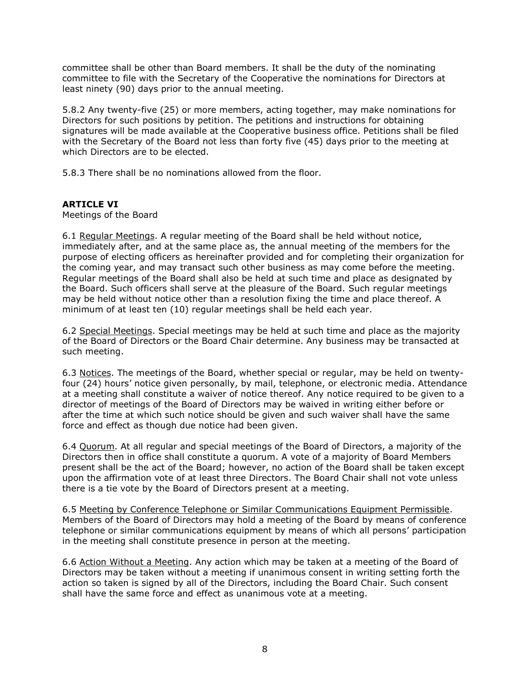committee shall be other than Board members. It shall be the duty of the nominating committee to file with the Secretary of the Cooperative the nominations for Directors at least ninety (90) days prior to the annual meeting.

5.8.2 Any twenty-five (25) or more members, acting together, may make nominations for Directors for such positions by petition. The petitions and instructions for obtaining signatures will be made available at the Cooperative business office. Petitions shall be filed with the Secretary of the Board not less than forty five (45) days prior to the meeting at which Directors are to be elected.

5.8.3 There shall be no nominations allowed from the floor.

# **ARTICLE VI**

Meetings of the Board

6.1 Regular Meetings. A regular meeting of the Board shall be held without notice, immediately after, and at the same place as, the annual meeting of the members for the purpose of electing officers as hereinafter provided and for completing their organization for the coming year, and may transact such other business as may come before the meeting. Regular meetings of the Board shall also be held at such time and place as designated by the Board. Such officers shall serve at the pleasure of the Board. Such regular meetings may be held without notice other than a resolution fixing the time and place thereof. A minimum of at least ten (10) regular meetings shall be held each year.

6.2 Special Meetings. Special meetings may be held at such time and place as the majority of the Board of Directors or the Board Chair determine. Any business may be transacted at such meeting.

6.3 Notices. The meetings of the Board, whether special or regular, may be held on twentyfour (24) hours' notice given personally, by mail, telephone, or electronic media. Attendance at a meeting shall constitute a waiver of notice thereof. Any notice required to be given to a director of meetings of the Board of Directors may be waived in writing either before or after the time at which such notice should be given and such waiver shall have the same force and effect as though due notice had been given.

6.4 Quorum. At all regular and special meetings of the Board of Directors, a majority of the Directors then in office shall constitute a quorum. A vote of a majority of Board Members present shall be the act of the Board; however, no action of the Board shall be taken except upon the affirmation vote of at least three Directors. The Board Chair shall not vote unless there is a tie vote by the Board of Directors present at a meeting.

6.5 Meeting by Conference Telephone or Similar Communications Equipment Permissible. Members of the Board of Directors may hold a meeting of the Board by means of conference telephone or similar communications equipment by means of which all persons' participation in the meeting shall constitute presence in person at the meeting.

6.6 Action Without a Meeting. Any action which may be taken at a meeting of the Board of Directors may be taken without a meeting if unanimous consent in writing setting forth the action so taken is signed by all of the Directors, including the Board Chair. Such consent shall have the same force and effect as unanimous vote at a meeting.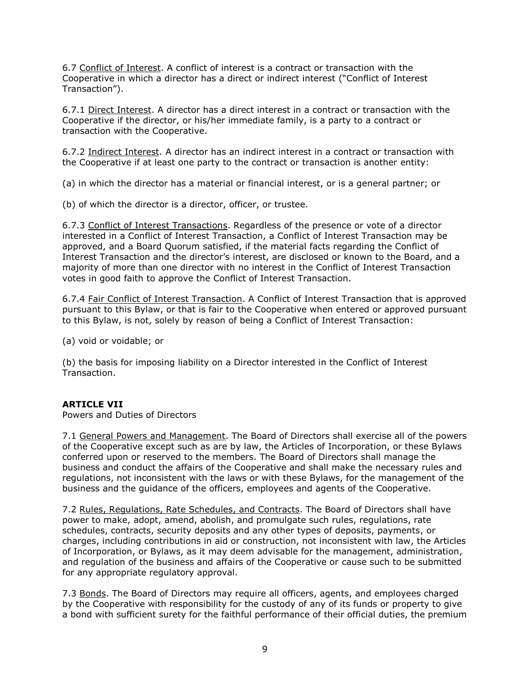6.7 Conflict of Interest. A conflict of interest is a contract or transaction with the Cooperative in which a director has a direct or indirect interest ("Conflict of Interest Transaction").

6.7.1 Direct Interest. A director has a direct interest in a contract or transaction with the Cooperative if the director, or his/her immediate family, is a party to a contract or transaction with the Cooperative.

6.7.2 Indirect Interest. A director has an indirect interest in a contract or transaction with the Cooperative if at least one party to the contract or transaction is another entity:

(a) in which the director has a material or financial interest, or is a general partner; or

(b) of which the director is a director, officer, or trustee.

6.7.3 Conflict of Interest Transactions. Regardless of the presence or vote of a director interested in a Conflict of Interest Transaction, a Conflict of Interest Transaction may be approved, and a Board Quorum satisfied, if the material facts regarding the Conflict of Interest Transaction and the director's interest, are disclosed or known to the Board, and a majority of more than one director with no interest in the Conflict of Interest Transaction votes in good faith to approve the Conflict of Interest Transaction.

6.7.4 Fair Conflict of Interest Transaction. A Conflict of Interest Transaction that is approved pursuant to this Bylaw, or that is fair to the Cooperative when entered or approved pursuant to this Bylaw, is not, solely by reason of being a Conflict of Interest Transaction:

(a) void or voidable; or

(b) the basis for imposing liability on a Director interested in the Conflict of Interest Transaction.

# **ARTICLE VII**

Powers and Duties of Directors

7.1 General Powers and Management. The Board of Directors shall exercise all of the powers of the Cooperative except such as are by law, the Articles of Incorporation, or these Bylaws conferred upon or reserved to the members. The Board of Directors shall manage the business and conduct the affairs of the Cooperative and shall make the necessary rules and regulations, not inconsistent with the laws or with these Bylaws, for the management of the business and the guidance of the officers, employees and agents of the Cooperative.

7.2 Rules, Regulations, Rate Schedules, and Contracts. The Board of Directors shall have power to make, adopt, amend, abolish, and promulgate such rules, regulations, rate schedules, contracts, security deposits and any other types of deposits, payments, or charges, including contributions in aid or construction, not inconsistent with law, the Articles of Incorporation, or Bylaws, as it may deem advisable for the management, administration, and regulation of the business and affairs of the Cooperative or cause such to be submitted for any appropriate regulatory approval.

7.3 Bonds. The Board of Directors may require all officers, agents, and employees charged by the Cooperative with responsibility for the custody of any of its funds or property to give a bond with sufficient surety for the faithful performance of their official duties, the premium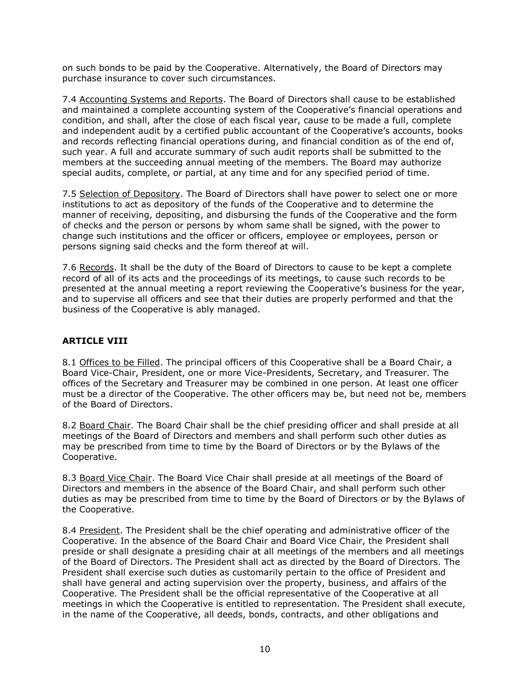on such bonds to be paid by the Cooperative. Alternatively, the Board of Directors may purchase insurance to cover such circumstances.

7.4 Accounting Systems and Reports. The Board of Directors shall cause to be established and maintained a complete accounting system of the Cooperative's financial operations and condition, and shall, after the close of each fiscal year, cause to be made a full, complete and independent audit by a certified public accountant of the Cooperative's accounts, books and records reflecting financial operations during, and financial condition as of the end of, such year. A full and accurate summary of such audit reports shall be submitted to the members at the succeeding annual meeting of the members. The Board may authorize special audits, complete, or partial, at any time and for any specified period of time.

7.5 Selection of Depository. The Board of Directors shall have power to select one or more institutions to act as depository of the funds of the Cooperative and to determine the manner of receiving, depositing, and disbursing the funds of the Cooperative and the form of checks and the person or persons by whom same shall be signed, with the power to change such institutions and the officer or officers, employee or employees, person or persons signing said checks and the form thereof at will.

7.6 Records. It shall be the duty of the Board of Directors to cause to be kept a complete record of all of its acts and the proceedings of its meetings, to cause such records to be presented at the annual meeting a report reviewing the Cooperative's business for the year, and to supervise all officers and see that their duties are properly performed and that the business of the Cooperative is ably managed.

# **ARTICLE VIII**

8.1 Offices to be Filled. The principal officers of this Cooperative shall be a Board Chair, a Board Vice-Chair, President, one or more Vice-Presidents, Secretary, and Treasurer. The offices of the Secretary and Treasurer may be combined in one person. At least one officer must be a director of the Cooperative. The other officers may be, but need not be, members of the Board of Directors.

8.2 Board Chair. The Board Chair shall be the chief presiding officer and shall preside at all meetings of the Board of Directors and members and shall perform such other duties as may be prescribed from time to time by the Board of Directors or by the Bylaws of the Cooperative.

8.3 Board Vice Chair. The Board Vice Chair shall preside at all meetings of the Board of Directors and members in the absence of the Board Chair, and shall perform such other duties as may be prescribed from time to time by the Board of Directors or by the Bylaws of the Cooperative.

8.4 President. The President shall be the chief operating and administrative officer of the Cooperative. In the absence of the Board Chair and Board Vice Chair, the President shall preside or shall designate a presiding chair at all meetings of the members and all meetings of the Board of Directors. The President shall act as directed by the Board of Directors. The President shall exercise such duties as customarily pertain to the office of President and shall have general and acting supervision over the property, business, and affairs of the Cooperative. The President shall be the official representative of the Cooperative at all meetings in which the Cooperative is entitled to representation. The President shall execute, in the name of the Cooperative, all deeds, bonds, contracts, and other obligations and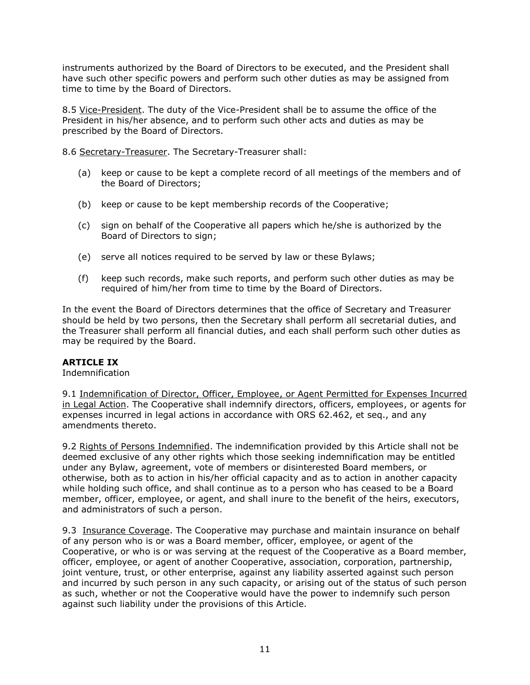instruments authorized by the Board of Directors to be executed, and the President shall have such other specific powers and perform such other duties as may be assigned from time to time by the Board of Directors.

8.5 Vice-President. The duty of the Vice-President shall be to assume the office of the President in his/her absence, and to perform such other acts and duties as may be prescribed by the Board of Directors.

8.6 Secretary-Treasurer. The Secretary-Treasurer shall:

- (a) keep or cause to be kept a complete record of all meetings of the members and of the Board of Directors;
- (b) keep or cause to be kept membership records of the Cooperative;
- (c) sign on behalf of the Cooperative all papers which he/she is authorized by the Board of Directors to sign;
- (e) serve all notices required to be served by law or these Bylaws;
- (f) keep such records, make such reports, and perform such other duties as may be required of him/her from time to time by the Board of Directors.

In the event the Board of Directors determines that the office of Secretary and Treasurer should be held by two persons, then the Secretary shall perform all secretarial duties, and the Treasurer shall perform all financial duties, and each shall perform such other duties as may be required by the Board.

### **ARTICLE IX**

### Indemnification

9.1 Indemnification of Director, Officer, Employee, or Agent Permitted for Expenses Incurred in Legal Action. The Cooperative shall indemnify directors, officers, employees, or agents for expenses incurred in legal actions in accordance with ORS 62.462, et seq., and any amendments thereto.

9.2 Rights of Persons Indemnified. The indemnification provided by this Article shall not be deemed exclusive of any other rights which those seeking indemnification may be entitled under any Bylaw, agreement, vote of members or disinterested Board members, or otherwise, both as to action in his/her official capacity and as to action in another capacity while holding such office, and shall continue as to a person who has ceased to be a Board member, officer, employee, or agent, and shall inure to the benefit of the heirs, executors, and administrators of such a person.

9.3 Insurance Coverage. The Cooperative may purchase and maintain insurance on behalf of any person who is or was a Board member, officer, employee, or agent of the Cooperative, or who is or was serving at the request of the Cooperative as a Board member, officer, employee, or agent of another Cooperative, association, corporation, partnership, joint venture, trust, or other enterprise, against any liability asserted against such person and incurred by such person in any such capacity, or arising out of the status of such person as such, whether or not the Cooperative would have the power to indemnify such person against such liability under the provisions of this Article.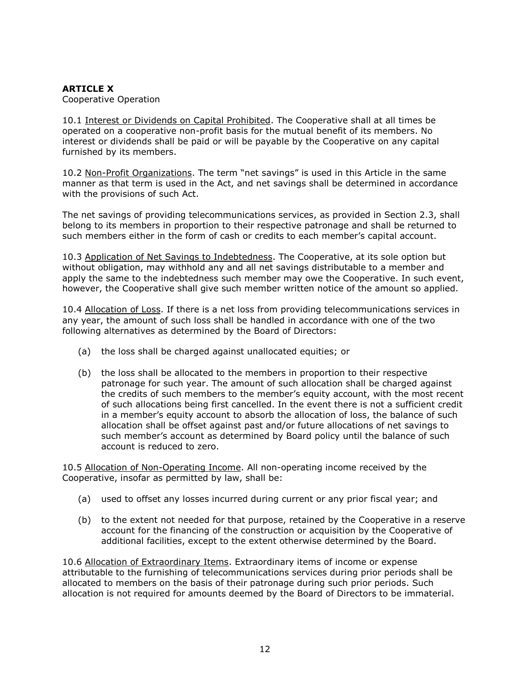## **ARTICLE X**

Cooperative Operation

10.1 Interest or Dividends on Capital Prohibited. The Cooperative shall at all times be operated on a cooperative non-profit basis for the mutual benefit of its members. No interest or dividends shall be paid or will be payable by the Cooperative on any capital furnished by its members.

10.2 Non-Profit Organizations. The term "net savings" is used in this Article in the same manner as that term is used in the Act, and net savings shall be determined in accordance with the provisions of such Act.

The net savings of providing telecommunications services, as provided in Section 2.3, shall belong to its members in proportion to their respective patronage and shall be returned to such members either in the form of cash or credits to each member's capital account.

10.3 Application of Net Savings to Indebtedness. The Cooperative, at its sole option but without obligation, may withhold any and all net savings distributable to a member and apply the same to the indebtedness such member may owe the Cooperative. In such event, however, the Cooperative shall give such member written notice of the amount so applied.

10.4 Allocation of Loss. If there is a net loss from providing telecommunications services in any year, the amount of such loss shall be handled in accordance with one of the two following alternatives as determined by the Board of Directors:

- (a) the loss shall be charged against unallocated equities; or
- (b) the loss shall be allocated to the members in proportion to their respective patronage for such year. The amount of such allocation shall be charged against the credits of such members to the member's equity account, with the most recent of such allocations being first cancelled. In the event there is not a sufficient credit in a member's equity account to absorb the allocation of loss, the balance of such allocation shall be offset against past and/or future allocations of net savings to such member's account as determined by Board policy until the balance of such account is reduced to zero.

10.5 Allocation of Non-Operating Income. All non-operating income received by the Cooperative, insofar as permitted by law, shall be:

- (a) used to offset any losses incurred during current or any prior fiscal year; and
- (b) to the extent not needed for that purpose, retained by the Cooperative in a reserve account for the financing of the construction or acquisition by the Cooperative of additional facilities, except to the extent otherwise determined by the Board.

10.6 Allocation of Extraordinary Items. Extraordinary items of income or expense attributable to the furnishing of telecommunications services during prior periods shall be allocated to members on the basis of their patronage during such prior periods. Such allocation is not required for amounts deemed by the Board of Directors to be immaterial.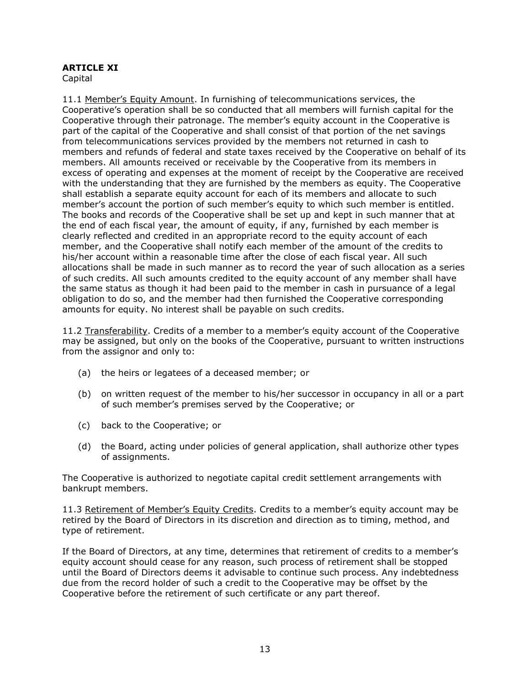## **ARTICLE XI**

Capital

11.1 Member's Equity Amount. In furnishing of telecommunications services, the Cooperative's operation shall be so conducted that all members will furnish capital for the Cooperative through their patronage. The member's equity account in the Cooperative is part of the capital of the Cooperative and shall consist of that portion of the net savings from telecommunications services provided by the members not returned in cash to members and refunds of federal and state taxes received by the Cooperative on behalf of its members. All amounts received or receivable by the Cooperative from its members in excess of operating and expenses at the moment of receipt by the Cooperative are received with the understanding that they are furnished by the members as equity. The Cooperative shall establish a separate equity account for each of its members and allocate to such member's account the portion of such member's equity to which such member is entitled. The books and records of the Cooperative shall be set up and kept in such manner that at the end of each fiscal year, the amount of equity, if any, furnished by each member is clearly reflected and credited in an appropriate record to the equity account of each member, and the Cooperative shall notify each member of the amount of the credits to his/her account within a reasonable time after the close of each fiscal year. All such allocations shall be made in such manner as to record the year of such allocation as a series of such credits. All such amounts credited to the equity account of any member shall have the same status as though it had been paid to the member in cash in pursuance of a legal obligation to do so, and the member had then furnished the Cooperative corresponding amounts for equity. No interest shall be payable on such credits.

11.2 Transferability. Credits of a member to a member's equity account of the Cooperative may be assigned, but only on the books of the Cooperative, pursuant to written instructions from the assignor and only to:

- (a) the heirs or legatees of a deceased member; or
- (b) on written request of the member to his/her successor in occupancy in all or a part of such member's premises served by the Cooperative; or
- (c) back to the Cooperative; or
- (d) the Board, acting under policies of general application, shall authorize other types of assignments.

The Cooperative is authorized to negotiate capital credit settlement arrangements with bankrupt members.

11.3 Retirement of Member's Equity Credits. Credits to a member's equity account may be retired by the Board of Directors in its discretion and direction as to timing, method, and type of retirement.

If the Board of Directors, at any time, determines that retirement of credits to a member's equity account should cease for any reason, such process of retirement shall be stopped until the Board of Directors deems it advisable to continue such process. Any indebtedness due from the record holder of such a credit to the Cooperative may be offset by the Cooperative before the retirement of such certificate or any part thereof.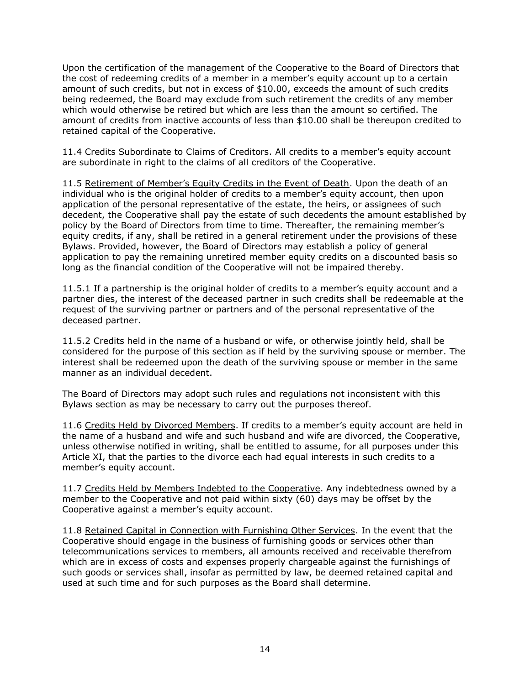Upon the certification of the management of the Cooperative to the Board of Directors that the cost of redeeming credits of a member in a member's equity account up to a certain amount of such credits, but not in excess of \$10.00, exceeds the amount of such credits being redeemed, the Board may exclude from such retirement the credits of any member which would otherwise be retired but which are less than the amount so certified. The amount of credits from inactive accounts of less than \$10.00 shall be thereupon credited to retained capital of the Cooperative.

11.4 Credits Subordinate to Claims of Creditors. All credits to a member's equity account are subordinate in right to the claims of all creditors of the Cooperative.

11.5 Retirement of Member's Equity Credits in the Event of Death. Upon the death of an individual who is the original holder of credits to a member's equity account, then upon application of the personal representative of the estate, the heirs, or assignees of such decedent, the Cooperative shall pay the estate of such decedents the amount established by policy by the Board of Directors from time to time. Thereafter, the remaining member's equity credits, if any, shall be retired in a general retirement under the provisions of these Bylaws. Provided, however, the Board of Directors may establish a policy of general application to pay the remaining unretired member equity credits on a discounted basis so long as the financial condition of the Cooperative will not be impaired thereby.

11.5.1 If a partnership is the original holder of credits to a member's equity account and a partner dies, the interest of the deceased partner in such credits shall be redeemable at the request of the surviving partner or partners and of the personal representative of the deceased partner.

11.5.2 Credits held in the name of a husband or wife, or otherwise jointly held, shall be considered for the purpose of this section as if held by the surviving spouse or member. The interest shall be redeemed upon the death of the surviving spouse or member in the same manner as an individual decedent.

The Board of Directors may adopt such rules and regulations not inconsistent with this Bylaws section as may be necessary to carry out the purposes thereof.

11.6 Credits Held by Divorced Members. If credits to a member's equity account are held in the name of a husband and wife and such husband and wife are divorced, the Cooperative, unless otherwise notified in writing, shall be entitled to assume, for all purposes under this Article XI, that the parties to the divorce each had equal interests in such credits to a member's equity account.

11.7 Credits Held by Members Indebted to the Cooperative. Any indebtedness owned by a member to the Cooperative and not paid within sixty (60) days may be offset by the Cooperative against a member's equity account.

11.8 Retained Capital in Connection with Furnishing Other Services. In the event that the Cooperative should engage in the business of furnishing goods or services other than telecommunications services to members, all amounts received and receivable therefrom which are in excess of costs and expenses properly chargeable against the furnishings of such goods or services shall, insofar as permitted by law, be deemed retained capital and used at such time and for such purposes as the Board shall determine.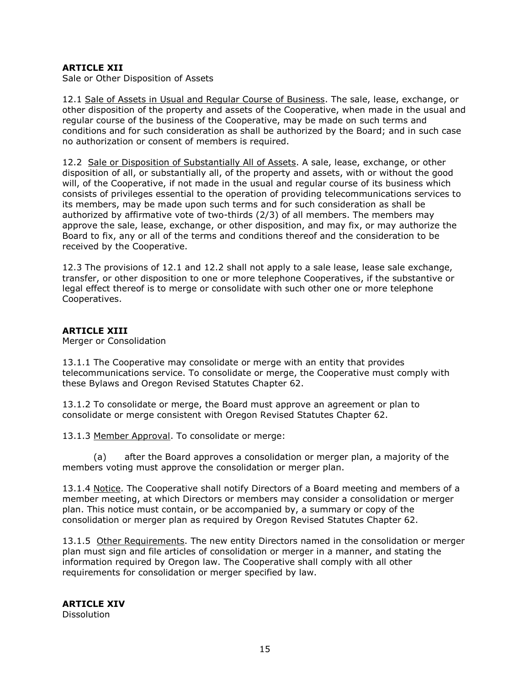### **ARTICLE XII**

Sale or Other Disposition of Assets

12.1 Sale of Assets in Usual and Regular Course of Business. The sale, lease, exchange, or other disposition of the property and assets of the Cooperative, when made in the usual and regular course of the business of the Cooperative, may be made on such terms and conditions and for such consideration as shall be authorized by the Board; and in such case no authorization or consent of members is required.

12.2 Sale or Disposition of Substantially All of Assets. A sale, lease, exchange, or other disposition of all, or substantially all, of the property and assets, with or without the good will, of the Cooperative, if not made in the usual and regular course of its business which consists of privileges essential to the operation of providing telecommunications services to its members, may be made upon such terms and for such consideration as shall be authorized by affirmative vote of two-thirds (2/3) of all members. The members may approve the sale, lease, exchange, or other disposition, and may fix, or may authorize the Board to fix, any or all of the terms and conditions thereof and the consideration to be received by the Cooperative.

12.3 The provisions of 12.1 and 12.2 shall not apply to a sale lease, lease sale exchange, transfer, or other disposition to one or more telephone Cooperatives, if the substantive or legal effect thereof is to merge or consolidate with such other one or more telephone Cooperatives.

### **ARTICLE XIII**

Merger or Consolidation

13.1.1 The Cooperative may consolidate or merge with an entity that provides telecommunications service. To consolidate or merge, the Cooperative must comply with these Bylaws and Oregon Revised Statutes Chapter 62.

13.1.2 To consolidate or merge, the Board must approve an agreement or plan to consolidate or merge consistent with Oregon Revised Statutes Chapter 62.

13.1.3 Member Approval. To consolidate or merge:

(a) after the Board approves a consolidation or merger plan, a majority of the members voting must approve the consolidation or merger plan.

13.1.4 Notice. The Cooperative shall notify Directors of a Board meeting and members of a member meeting, at which Directors or members may consider a consolidation or merger plan. This notice must contain, or be accompanied by, a summary or copy of the consolidation or merger plan as required by Oregon Revised Statutes Chapter 62.

13.1.5 Other Requirements. The new entity Directors named in the consolidation or merger plan must sign and file articles of consolidation or merger in a manner, and stating the information required by Oregon law. The Cooperative shall comply with all other requirements for consolidation or merger specified by law.

**ARTICLE XIV Dissolution**